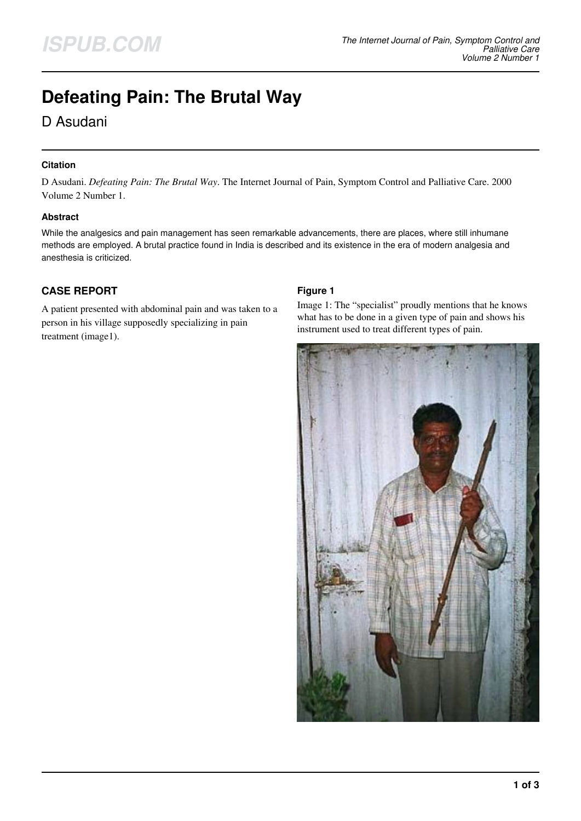# **Defeating Pain: The Brutal Way**

D Asudani

# **Citation**

D Asudani. *Defeating Pain: The Brutal Way*. The Internet Journal of Pain, Symptom Control and Palliative Care. 2000 Volume 2 Number 1.

## **Abstract**

While the analgesics and pain management has seen remarkable advancements, there are places, where still inhumane methods are employed. A brutal practice found in India is described and its existence in the era of modern analgesia and anesthesia is criticized.

# **CASE REPORT**

A patient presented with abdominal pain and was taken to a person in his village supposedly specializing in pain treatment (image1).

# **Figure 1**

Image 1: The "specialist" proudly mentions that he knows what has to be done in a given type of pain and shows his instrument used to treat different types of pain.

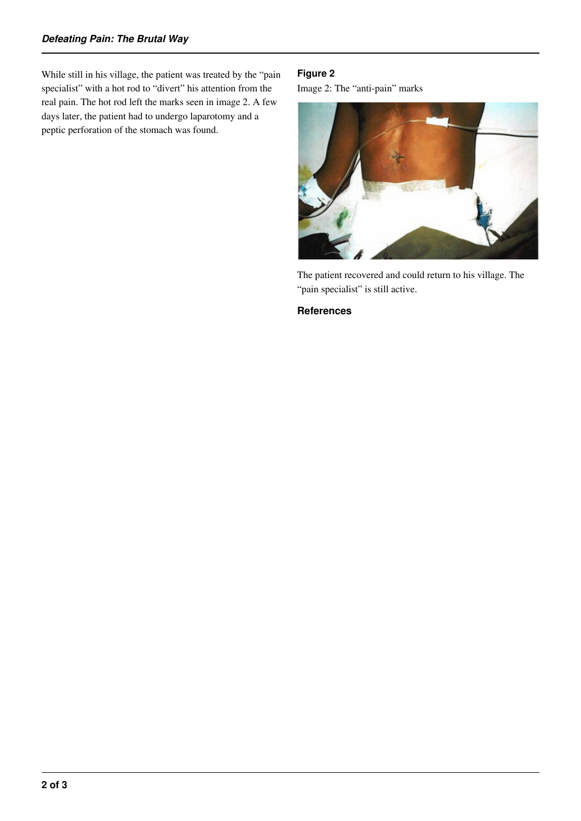While still in his village, the patient was treated by the "pain specialist" with a hot rod to "divert" his attention from the real pain. The hot rod left the marks seen in image 2. A few days later, the patient had to undergo laparotomy and a peptic perforation of the stomach was found.

#### **Figure 2**

Image 2: The "anti-pain" marks



The patient recovered and could return to his village. The "pain specialist" is still active.

#### **References**